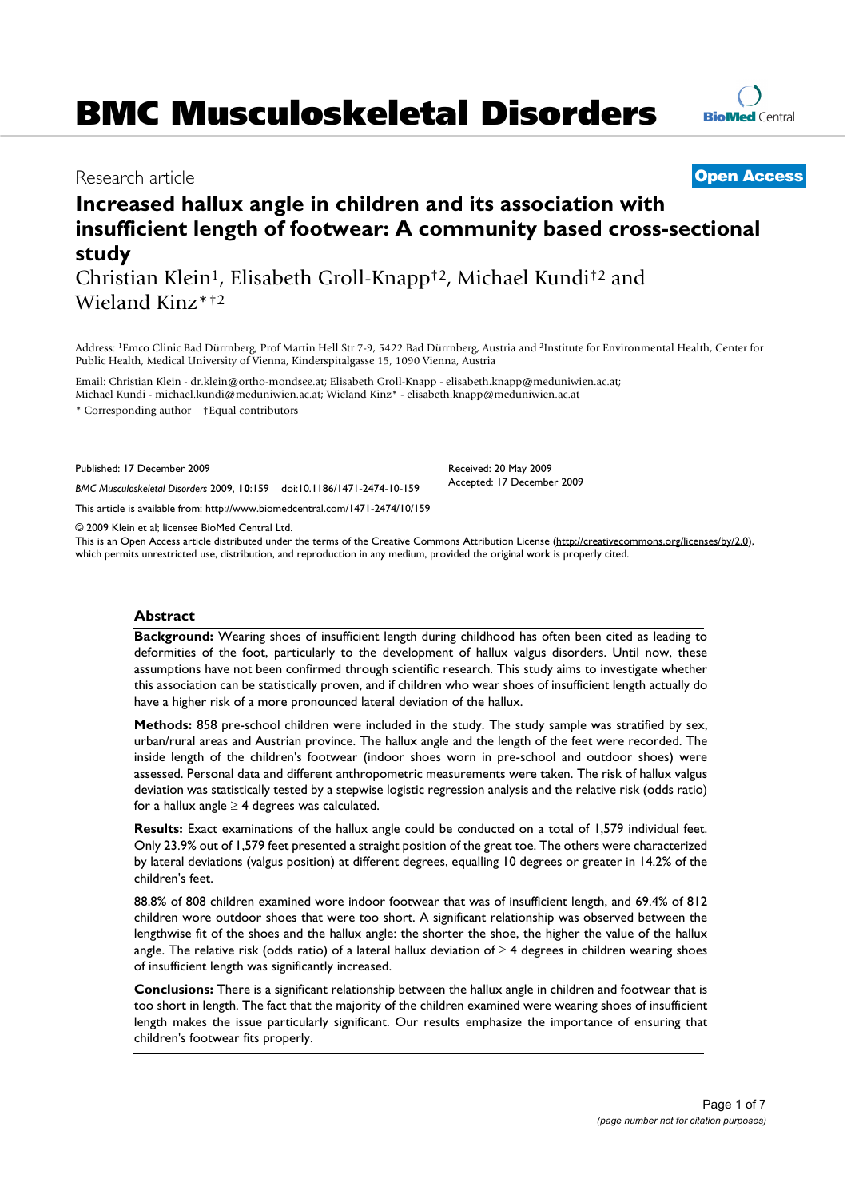# BMC Musculoskeletal Disorders

### Research article **Contract Contract Contract Contract Contract Contract Contract Contract Contract Contract Contract Contract Contract Contract Contract Contract Contract Contract Contract Contract Contract Contract Contra**

**BioMed Central** 

## **Increased hallux angle in children and its association with insufficient length of footwear: A community based cross-sectional study**

Christian Klein<sup>1</sup>, Elisabeth Groll-Knapp†2, Michael Kundi†2 and Wieland Kinz\*†2

Address: <sup>1</sup>Emco Clinic Bad Dürrnberg, Prof Martin Hell Str 7-9, 5422 Bad Dürrnberg, Austria and <sup>2</sup>Institute for Environmental Health, Center for Public Health, Medical University of Vienna, Kinderspitalgasse 15, 1090 Vienna, Austria

Email: Christian Klein - dr.klein@ortho-mondsee.at; Elisabeth Groll-Knapp - elisabeth.knapp@meduniwien.ac.at; Michael Kundi - michael.kundi@meduniwien.ac.at; Wieland Kinz\* - elisabeth.knapp@meduniwien.ac.at

\* Corresponding author †Equal contributors

Published: 17 December 2009

*BMC Musculoskeletal Disorders* 2009, **10**:159 doi:10.1186/1471-2474-10-159 This article is available from: http://www.biomedcentral.com/1471-2474/10/159

© 2009 Klein et al; licensee BioMed Central Ltd.

This is an Open Access article distributed under the terms of the Creative Commons Attribution License (http://creativecommons.org/licenses/by/2.0), which permits unrestricted use, distribution, and reproduction in any medium, provided the original work is properly cited.

Received: 20 May 2009 Accepted: 17 December 2009

#### **Abstract**

**Background:** Wearing shoes of insufficient length during childhood has often been cited as leading to deformities of the foot, particularly to the development of hallux valgus disorders. Until now, these assumptions have not been confirmed through scientific research. This study aims to investigate whether this association can be statistically proven, and if children who wear shoes of insufficient length actually do have a higher risk of a more pronounced lateral deviation of the hallux.

**Methods:** 858 pre-school children were included in the study. The study sample was stratified by sex, urban/rural areas and Austrian province. The hallux angle and the length of the feet were recorded. The inside length of the children's footwear (indoor shoes worn in pre-school and outdoor shoes) were assessed. Personal data and different anthropometric measurements were taken. The risk of hallux valgus deviation was statistically tested by a stepwise logistic regression analysis and the relative risk (odds ratio) for a hallux angle  $\geq 4$  degrees was calculated.

**Results:** Exact examinations of the hallux angle could be conducted on a total of 1,579 individual feet. Only 23.9% out of 1,579 feet presented a straight position of the great toe. The others were characterized by lateral deviations (valgus position) at different degrees, equalling 10 degrees or greater in 14.2% of the children's feet.

88.8% of 808 children examined wore indoor footwear that was of insufficient length, and 69.4% of 812 children wore outdoor shoes that were too short. A significant relationship was observed between the lengthwise fit of the shoes and the hallux angle: the shorter the shoe, the higher the value of the hallux angle. The relative risk (odds ratio) of a lateral hallux deviation of  $\geq 4$  degrees in children wearing shoes of insufficient length was significantly increased.

**Conclusions:** There is a significant relationship between the hallux angle in children and footwear that is too short in length. The fact that the majority of the children examined were wearing shoes of insufficient length makes the issue particularly significant. Our results emphasize the importance of ensuring that children's footwear fits properly.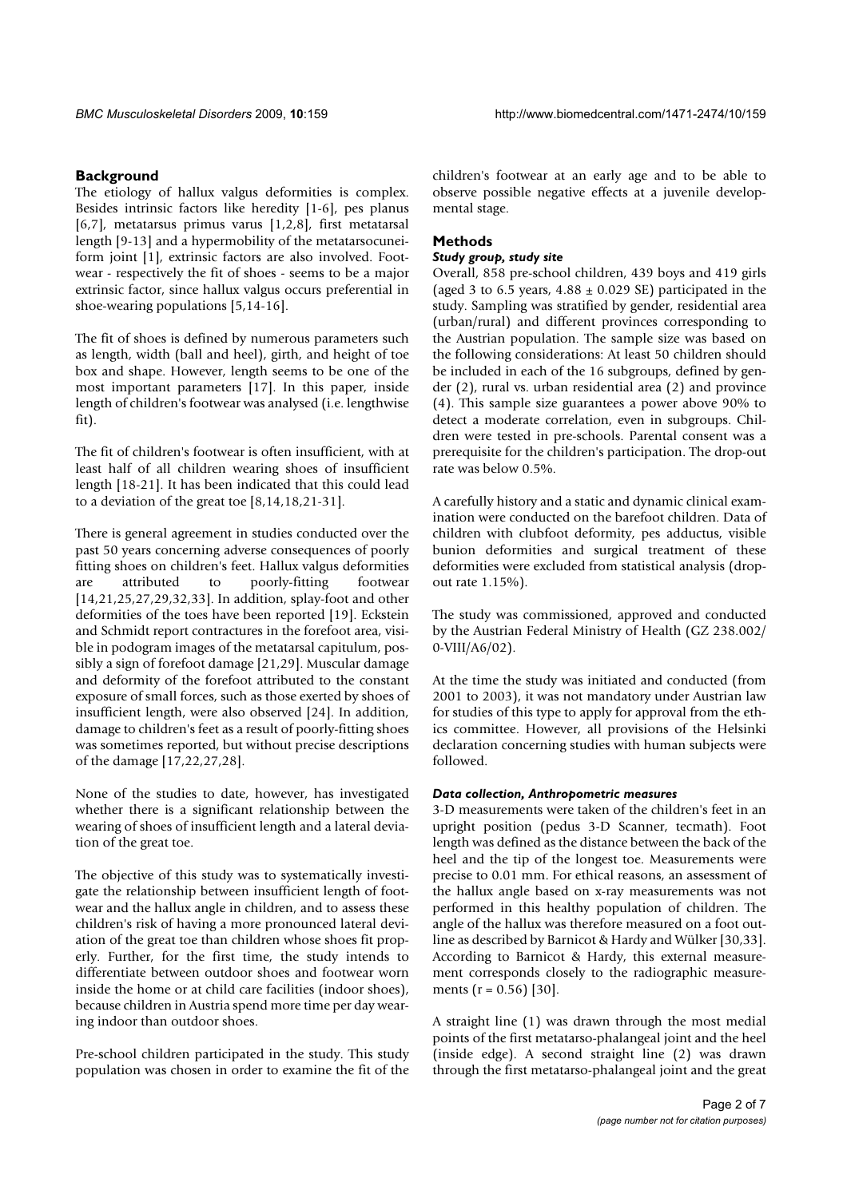#### **Background**

The etiology of hallux valgus deformities is complex. Besides intrinsic factors like heredity [1-6], pes planus [6,7], metatarsus primus varus [1,2,8], first metatarsal length [9-13] and a hypermobility of the metatarsocuneiform joint [1], extrinsic factors are also involved. Footwear - respectively the fit of shoes - seems to be a major extrinsic factor, since hallux valgus occurs preferential in shoe-wearing populations [5,14-16].

The fit of shoes is defined by numerous parameters such as length, width (ball and heel), girth, and height of toe box and shape. However, length seems to be one of the most important parameters [17]. In this paper, inside length of children's footwear was analysed (i.e. lengthwise fit).

The fit of children's footwear is often insufficient, with at least half of all children wearing shoes of insufficient length [18-21]. It has been indicated that this could lead to a deviation of the great toe [8,14,18,21-31].

There is general agreement in studies conducted over the past 50 years concerning adverse consequences of poorly fitting shoes on children's feet. Hallux valgus deformities are attributed to poorly-fitting footwear [14,21,25,27,29,32,33]. In addition, splay-foot and other deformities of the toes have been reported [19]. Eckstein and Schmidt report contractures in the forefoot area, visible in podogram images of the metatarsal capitulum, possibly a sign of forefoot damage [21,29]. Muscular damage and deformity of the forefoot attributed to the constant exposure of small forces, such as those exerted by shoes of insufficient length, were also observed [24]. In addition, damage to children's feet as a result of poorly-fitting shoes was sometimes reported, but without precise descriptions of the damage [17,22,27,28].

None of the studies to date, however, has investigated whether there is a significant relationship between the wearing of shoes of insufficient length and a lateral deviation of the great toe.

The objective of this study was to systematically investigate the relationship between insufficient length of footwear and the hallux angle in children, and to assess these children's risk of having a more pronounced lateral deviation of the great toe than children whose shoes fit properly. Further, for the first time, the study intends to differentiate between outdoor shoes and footwear worn inside the home or at child care facilities (indoor shoes), because children in Austria spend more time per day wearing indoor than outdoor shoes.

Pre-school children participated in the study. This study population was chosen in order to examine the fit of the

children's footwear at an early age and to be able to observe possible negative effects at a juvenile developmental stage.

#### **Methods**

#### *Study group, study site*

Overall, 858 pre-school children, 439 boys and 419 girls (aged 3 to 6.5 years,  $4.88 \pm 0.029$  SE) participated in the study. Sampling was stratified by gender, residential area (urban/rural) and different provinces corresponding to the Austrian population. The sample size was based on the following considerations: At least 50 children should be included in each of the 16 subgroups, defined by gender (2), rural vs. urban residential area (2) and province (4). This sample size guarantees a power above 90% to detect a moderate correlation, even in subgroups. Children were tested in pre-schools. Parental consent was a prerequisite for the children's participation. The drop-out rate was below 0.5%.

A carefully history and a static and dynamic clinical examination were conducted on the barefoot children. Data of children with clubfoot deformity, pes adductus, visible bunion deformities and surgical treatment of these deformities were excluded from statistical analysis (dropout rate 1.15%).

The study was commissioned, approved and conducted by the Austrian Federal Ministry of Health (GZ 238.002/ 0-VIII/A6/02).

At the time the study was initiated and conducted (from 2001 to 2003), it was not mandatory under Austrian law for studies of this type to apply for approval from the ethics committee. However, all provisions of the Helsinki declaration concerning studies with human subjects were followed.

#### *Data collection, Anthropometric measures*

3-D measurements were taken of the children's feet in an upright position (pedus 3-D Scanner, tecmath). Foot length was defined as the distance between the back of the heel and the tip of the longest toe. Measurements were precise to 0.01 mm. For ethical reasons, an assessment of the hallux angle based on x-ray measurements was not performed in this healthy population of children. The angle of the hallux was therefore measured on a foot outline as described by Barnicot & Hardy and Wülker [30,33]. According to Barnicot & Hardy, this external measurement corresponds closely to the radiographic measurements ( $r = 0.56$ ) [30].

A straight line (1) was drawn through the most medial points of the first metatarso-phalangeal joint and the heel (inside edge). A second straight line (2) was drawn through the first metatarso-phalangeal joint and the great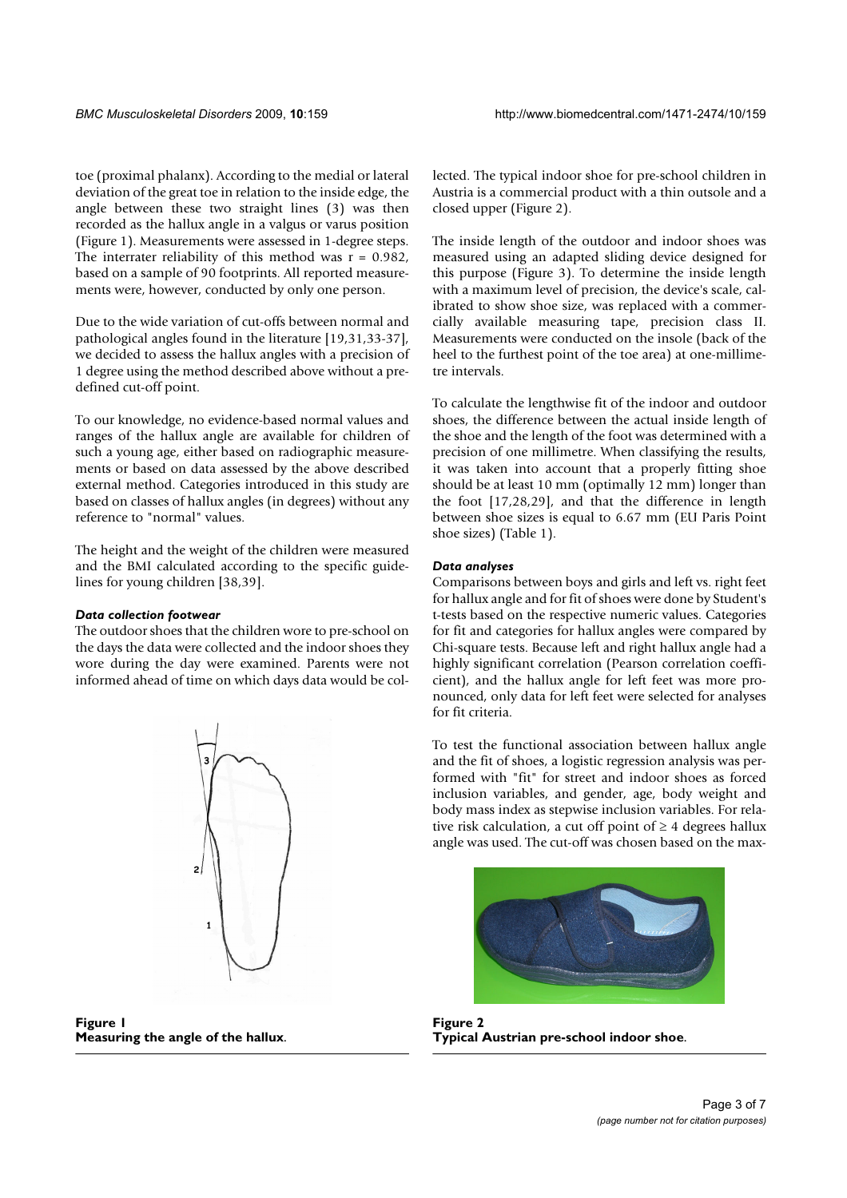toe (proximal phalanx). According to the medial or lateral deviation of the great toe in relation to the inside edge, the angle between these two straight lines (3) was then recorded as the hallux angle in a valgus or varus position (Figure 1). Measurements were assessed in 1-degree steps. The interrater reliability of this method was  $r = 0.982$ , based on a sample of 90 footprints. All reported measurements were, however, conducted by only one person.

Due to the wide variation of cut-offs between normal and pathological angles found in the literature [19,31,33-37], we decided to assess the hallux angles with a precision of 1 degree using the method described above without a predefined cut-off point.

To our knowledge, no evidence-based normal values and ranges of the hallux angle are available for children of such a young age, either based on radiographic measurements or based on data assessed by the above described external method. Categories introduced in this study are based on classes of hallux angles (in degrees) without any reference to "normal" values.

The height and the weight of the children were measured and the BMI calculated according to the specific guidelines for young children [38,39].

#### *Data collection footwear*

The outdoor shoes that the children wore to pre-school on the days the data were collected and the indoor shoes they wore during the day were examined. Parents were not informed ahead of time on which days data would be col-





lected. The typical indoor shoe for pre-school children in Austria is a commercial product with a thin outsole and a closed upper (Figure 2).

The inside length of the outdoor and indoor shoes was measured using an adapted sliding device designed for this purpose (Figure 3). To determine the inside length with a maximum level of precision, the device's scale, calibrated to show shoe size, was replaced with a commercially available measuring tape, precision class II. Measurements were conducted on the insole (back of the heel to the furthest point of the toe area) at one-millimetre intervals.

To calculate the lengthwise fit of the indoor and outdoor shoes, the difference between the actual inside length of the shoe and the length of the foot was determined with a precision of one millimetre. When classifying the results, it was taken into account that a properly fitting shoe should be at least 10 mm (optimally 12 mm) longer than the foot [17,28,29], and that the difference in length between shoe sizes is equal to 6.67 mm (EU Paris Point shoe sizes) (Table 1).

#### *Data analyses*

Comparisons between boys and girls and left vs. right feet for hallux angle and for fit of shoes were done by Student's t-tests based on the respective numeric values. Categories for fit and categories for hallux angles were compared by Chi-square tests. Because left and right hallux angle had a highly significant correlation (Pearson correlation coefficient), and the hallux angle for left feet was more pronounced, only data for left feet were selected for analyses for fit criteria.

To test the functional association between hallux angle and the fit of shoes, a logistic regression analysis was performed with "fit" for street and indoor shoes as forced inclusion variables, and gender, age, body weight and body mass index as stepwise inclusion variables. For relative risk calculation, a cut off point of  $\geq 4$  degrees hallux angle was used. The cut-off was chosen based on the max-



Figure 2 **Typical Austrian pre-school indoor shoe**.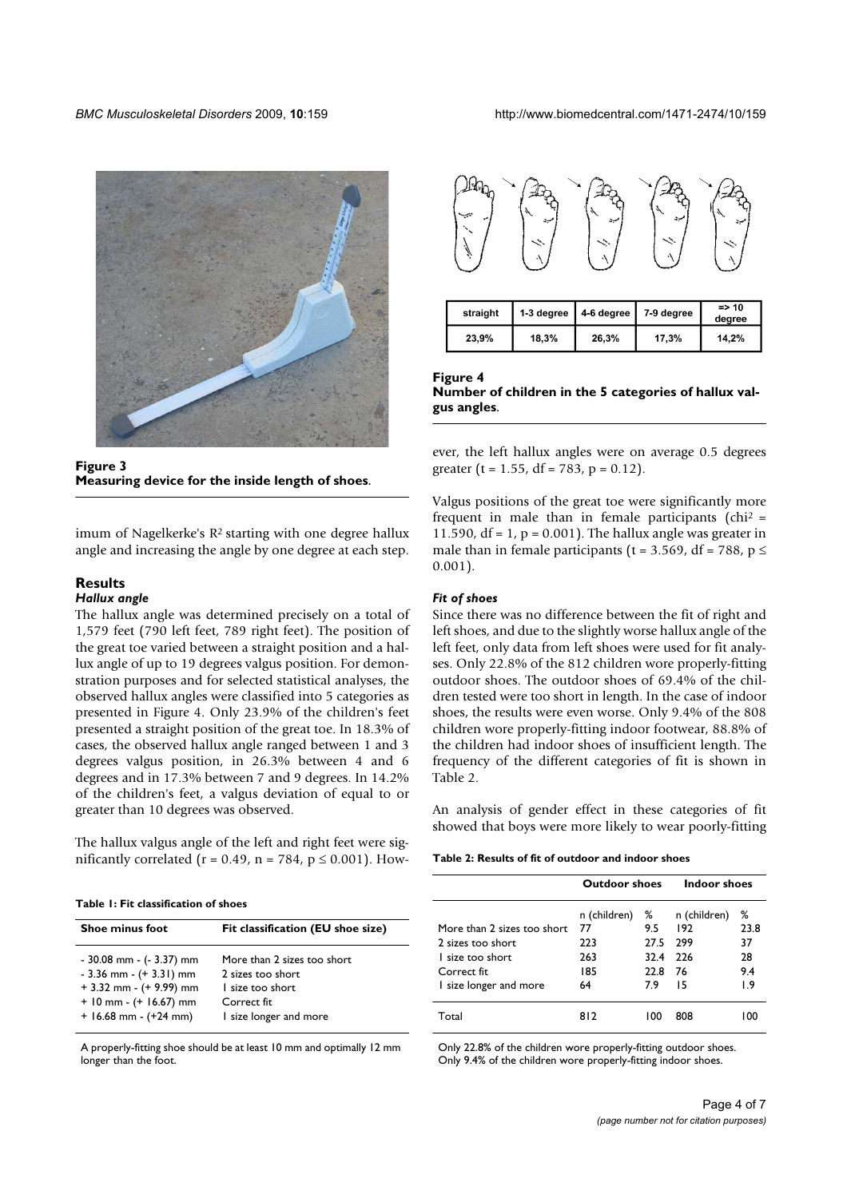

**Figure 3 Measuring device for the inside length of shoes**.

imum of Nagelkerke's  $R^2$  starting with one degree hallux angle and increasing the angle by one degree at each step.

#### **Results**

#### *Hallux angle*

The hallux angle was determined precisely on a total of 1,579 feet (790 left feet, 789 right feet). The position of the great toe varied between a straight position and a hallux angle of up to 19 degrees valgus position. For demonstration purposes and for selected statistical analyses, the observed hallux angles were classified into 5 categories as presented in Figure 4. Only 23.9% of the children's feet presented a straight position of the great toe. In 18.3% of cases, the observed hallux angle ranged between 1 and 3 degrees valgus position, in 26.3% between 4 and 6 degrees and in 17.3% between 7 and 9 degrees. In 14.2% of the children's feet, a valgus deviation of equal to or greater than 10 degrees was observed.

The hallux valgus angle of the left and right feet were significantly correlated ( $r = 0.49$ ,  $n = 784$ ,  $p \le 0.001$ ). How-

#### **Table 1: Fit classification of shoes**

| <b>Shoe minus foot</b>     | Fit classification (EU shoe size) |  |  |  |
|----------------------------|-----------------------------------|--|--|--|
| $-30.08$ mm $-(-3.37)$ mm  | More than 2 sizes too short       |  |  |  |
| $-3.36$ mm $- (+ 3.31)$ mm | 2 sizes too short                 |  |  |  |
| $+3.32$ mm - (+ 9.99) mm   | I size too short                  |  |  |  |
| $+10$ mm - $(+16.67)$ mm   | Correct fit                       |  |  |  |
| $+ 16.68$ mm - $(+24$ mm)  | I size longer and more            |  |  |  |

A properly-fitting shoe should be at least 10 mm and optimally 12 mm longer than the foot.



| straight | 1-3 degree | 4-6 degree | 7-9 degree | $\Rightarrow$ 10<br>degree |
|----------|------------|------------|------------|----------------------------|
| 23.9%    | 18,3%      | 26,3%      | 17.3%      | 14,2%                      |

Figure 4 **Number of children in the 5 categories of hallux valgus angles**.

ever, the left hallux angles were on average 0.5 degrees greater (t = 1.55, df = 783, p = 0.12).

Valgus positions of the great toe were significantly more frequent in male than in female participants (chi<sup>2</sup> = 11.590,  $df = 1$ ,  $p = 0.001$ ). The hallux angle was greater in male than in female participants (t = 3.569, df = 788,  $p \le$ 0.001).

#### *Fit of shoes*

Since there was no difference between the fit of right and left shoes, and due to the slightly worse hallux angle of the left feet, only data from left shoes were used for fit analyses. Only 22.8% of the 812 children wore properly-fitting outdoor shoes. The outdoor shoes of 69.4% of the children tested were too short in length. In the case of indoor shoes, the results were even worse. Only 9.4% of the 808 children wore properly-fitting indoor footwear, 88.8% of the children had indoor shoes of insufficient length. The frequency of the different categories of fit is shown in Table 2.

An analysis of gender effect in these categories of fit showed that boys were more likely to wear poorly-fitting

| Table 2: Results of fit of outdoor and indoor shoes |  |
|-----------------------------------------------------|--|
|-----------------------------------------------------|--|

|                             | <b>Outdoor shoes</b> |      | Indoor shoes |      |
|-----------------------------|----------------------|------|--------------|------|
|                             | n (children)         | %    | n (children) | ℅    |
| More than 2 sizes too short | 77                   | 9.5  | 192          | 23.8 |
| 2 sizes too short           | 223                  | 27.5 | 299          | 37   |
| I size too short            | 263                  | 32.4 | 226          | 28   |
| Correct fit                 | 185                  | 22.8 | 76           | 9.4  |
| I size longer and more      | 64                   | 79   | 15           | 1.9  |
| Total                       | 812                  | 100  | 808          | 100  |

Only 22.8% of the children wore properly-fitting outdoor shoes. Only 9.4% of the children wore properly-fitting indoor shoes.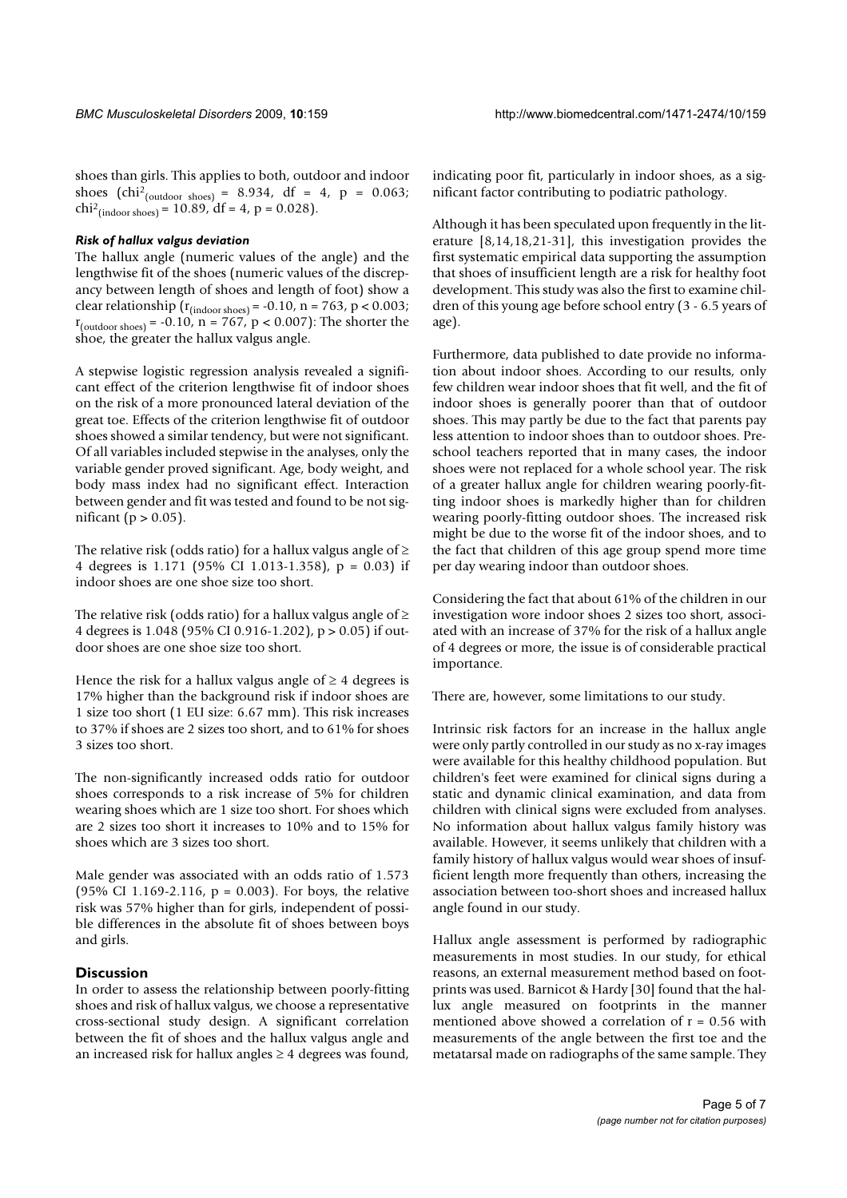shoes than girls. This applies to both, outdoor and indoor shoes (chi<sup>2</sup><sub>(outdoor shoes)</sub> = 8.934, df = 4, p = 0.063;  $\text{chi}^2_{\text{(indoor shoes)}} = 10.89, \text{ df} = 4, \text{ p} = 0.028.$ 

### *Risk of hallux valgus deviation*

The hallux angle (numeric values of the angle) and the lengthwise fit of the shoes (numeric values of the discrepancy between length of shoes and length of foot) show a clear relationship ( $r_{(indoor\,shoes)}$  = -0.10, n = 763, p < 0.003;  $r_{\text{(outdoor shoes)}} = -0.10$ , n = 767, p < 0.007): The shorter the shoe, the greater the hallux valgus angle.

A stepwise logistic regression analysis revealed a significant effect of the criterion lengthwise fit of indoor shoes on the risk of a more pronounced lateral deviation of the great toe. Effects of the criterion lengthwise fit of outdoor shoes showed a similar tendency, but were not significant. Of all variables included stepwise in the analyses, only the variable gender proved significant. Age, body weight, and body mass index had no significant effect. Interaction between gender and fit was tested and found to be not significant ( $p > 0.05$ ).

The relative risk (odds ratio) for a hallux valgus angle of  $\geq$ 4 degrees is 1.171 (95% CI 1.013-1.358), p = 0.03) if indoor shoes are one shoe size too short.

The relative risk (odds ratio) for a hallux valgus angle of  $\geq$ 4 degrees is 1.048 (95% CI 0.916-1.202), p > 0.05) if outdoor shoes are one shoe size too short.

Hence the risk for a hallux valgus angle of  $\geq 4$  degrees is 17% higher than the background risk if indoor shoes are 1 size too short (1 EU size: 6.67 mm). This risk increases to 37% if shoes are 2 sizes too short, and to 61% for shoes 3 sizes too short.

The non-significantly increased odds ratio for outdoor shoes corresponds to a risk increase of 5% for children wearing shoes which are 1 size too short. For shoes which are 2 sizes too short it increases to 10% and to 15% for shoes which are 3 sizes too short.

Male gender was associated with an odds ratio of 1.573 (95% CI 1.169-2.116,  $p = 0.003$ ). For boys, the relative risk was 57% higher than for girls, independent of possible differences in the absolute fit of shoes between boys and girls.

#### **Discussion**

In order to assess the relationship between poorly-fitting shoes and risk of hallux valgus, we choose a representative cross-sectional study design. A significant correlation between the fit of shoes and the hallux valgus angle and an increased risk for hallux angles  $\geq 4$  degrees was found,

indicating poor fit, particularly in indoor shoes, as a significant factor contributing to podiatric pathology.

Although it has been speculated upon frequently in the literature [8,14,18,21-31], this investigation provides the first systematic empirical data supporting the assumption that shoes of insufficient length are a risk for healthy foot development. This study was also the first to examine children of this young age before school entry (3 - 6.5 years of age).

Furthermore, data published to date provide no information about indoor shoes. According to our results, only few children wear indoor shoes that fit well, and the fit of indoor shoes is generally poorer than that of outdoor shoes. This may partly be due to the fact that parents pay less attention to indoor shoes than to outdoor shoes. Preschool teachers reported that in many cases, the indoor shoes were not replaced for a whole school year. The risk of a greater hallux angle for children wearing poorly-fitting indoor shoes is markedly higher than for children wearing poorly-fitting outdoor shoes. The increased risk might be due to the worse fit of the indoor shoes, and to the fact that children of this age group spend more time per day wearing indoor than outdoor shoes.

Considering the fact that about 61% of the children in our investigation wore indoor shoes 2 sizes too short, associated with an increase of 37% for the risk of a hallux angle of 4 degrees or more, the issue is of considerable practical importance.

There are, however, some limitations to our study.

Intrinsic risk factors for an increase in the hallux angle were only partly controlled in our study as no x-ray images were available for this healthy childhood population. But children's feet were examined for clinical signs during a static and dynamic clinical examination, and data from children with clinical signs were excluded from analyses. No information about hallux valgus family history was available. However, it seems unlikely that children with a family history of hallux valgus would wear shoes of insufficient length more frequently than others, increasing the association between too-short shoes and increased hallux angle found in our study.

Hallux angle assessment is performed by radiographic measurements in most studies. In our study, for ethical reasons, an external measurement method based on footprints was used. Barnicot & Hardy [30] found that the hallux angle measured on footprints in the manner mentioned above showed a correlation of  $r = 0.56$  with measurements of the angle between the first toe and the metatarsal made on radiographs of the same sample. They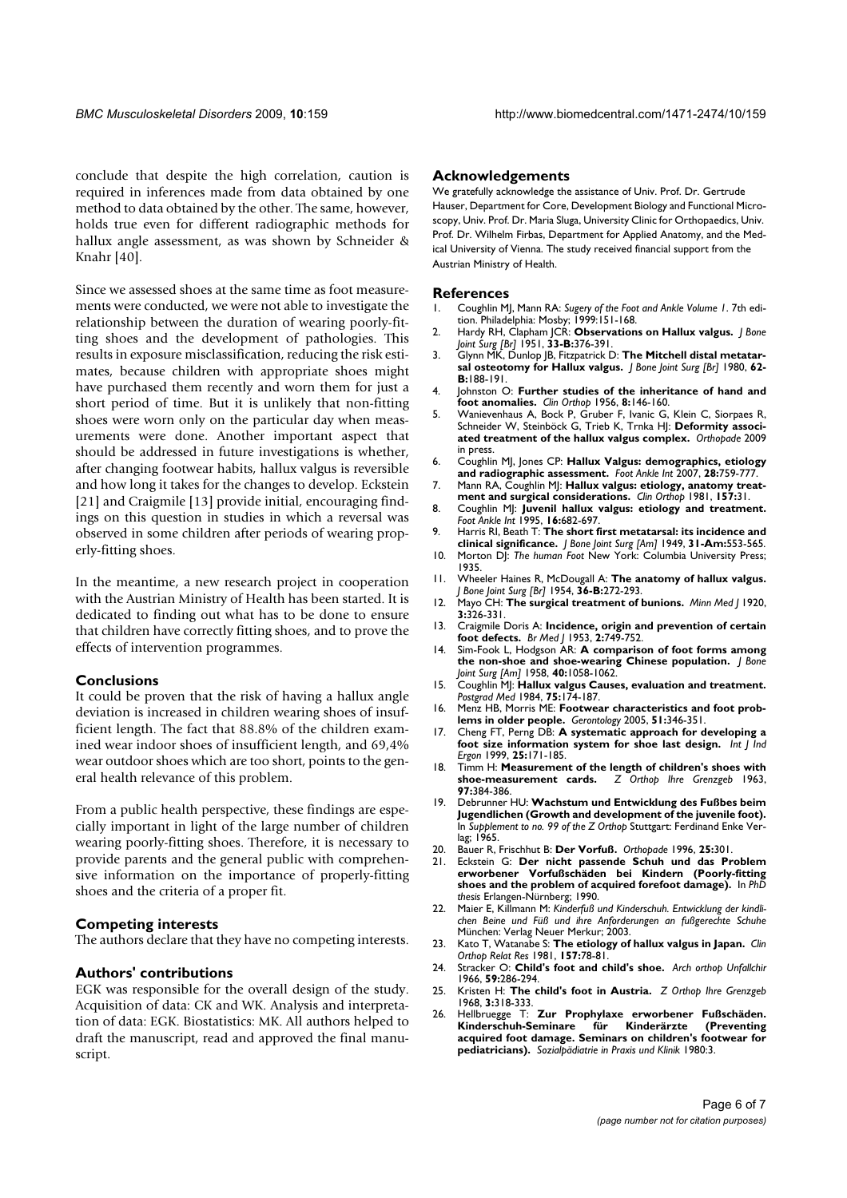conclude that despite the high correlation, caution is required in inferences made from data obtained by one method to data obtained by the other. The same, however, holds true even for different radiographic methods for hallux angle assessment, as was shown by Schneider & Knahr [40].

Since we assessed shoes at the same time as foot measurements were conducted, we were not able to investigate the relationship between the duration of wearing poorly-fitting shoes and the development of pathologies. This results in exposure misclassification, reducing the risk estimates, because children with appropriate shoes might have purchased them recently and worn them for just a short period of time. But it is unlikely that non-fitting shoes were worn only on the particular day when measurements were done. Another important aspect that should be addressed in future investigations is whether, after changing footwear habits, hallux valgus is reversible and how long it takes for the changes to develop. Eckstein [21] and Craigmile [13] provide initial, encouraging findings on this question in studies in which a reversal was observed in some children after periods of wearing properly-fitting shoes.

In the meantime, a new research project in cooperation with the Austrian Ministry of Health has been started. It is dedicated to finding out what has to be done to ensure that children have correctly fitting shoes, and to prove the effects of intervention programmes.

#### **Conclusions**

It could be proven that the risk of having a hallux angle deviation is increased in children wearing shoes of insufficient length. The fact that 88.8% of the children examined wear indoor shoes of insufficient length, and 69,4% wear outdoor shoes which are too short, points to the general health relevance of this problem.

From a public health perspective, these findings are especially important in light of the large number of children wearing poorly-fitting shoes. Therefore, it is necessary to provide parents and the general public with comprehensive information on the importance of properly-fitting shoes and the criteria of a proper fit.

#### **Competing interests**

The authors declare that they have no competing interests.

#### **Authors' contributions**

EGK was responsible for the overall design of the study. Acquisition of data: CK and WK. Analysis and interpretation of data: EGK. Biostatistics: MK. All authors helped to draft the manuscript, read and approved the final manuscript.

#### **Acknowledgements**

We gratefully acknowledge the assistance of Univ. Prof. Dr. Gertrude Hauser, Department for Core, Development Biology and Functional Microscopy, Univ. Prof. Dr. Maria Sluga, University Clinic for Orthopaedics, Univ. Prof. Dr. Wilhelm Firbas, Department for Applied Anatomy, and the Medical University of Vienna. The study received financial support from the Austrian Ministry of Health.

#### **References**

- 1. Coughlin MJ, Mann RA: *Sugery of the Foot and Ankle Volume 1*. 7th edition. Philadelphia: Mosby; 1999:151-168.
- 2. Hardy RH, Clapham JCR: **Observations on Hallux valgus.** *J Bone Joint Surg [Br]* 1951, **33-B:**376-391.
- 3. Glynn MK, Dunlop JB, Fitzpatrick D: **The Mitchell distal metatarsal osteotomy for Hallux valgus.** *J Bone Joint Surg [Br]* 1980, **62- B:**188-191.
- 4. Johnston O: **Further studies of the inheritance of hand and foot anomalies.** *Clin Orthop* 1956, **8:**146-160.
- 5. Wanievenhaus A, Bock P, Gruber F, Ivanic G, Klein C, Siorpaes R, Schneider W, Steinböck G, Trieb K, Trnka HJ: **Deformity associated treatment of the hallux valgus complex.** *Orthopade* 2009 in press.
- 6. Coughlin MJ, Jones CP: **Hallux Valgus: demographics, etiology and radiographic assessment.** *Foot Ankle Int* 2007, **28:**759-777.
- 7. Mann RA, Coughlin MJ: **Hallux valgus: etiology, anatomy treatment and surgical considerations.** *Clin Orthop* 1981, **157:**31.
- 8. Coughlin MJ: **Juvenil hallux valgus: etiology and treatment.** *Foot Ankle Int* 1995, **16:**682-697.
- 9. Harris RI, Beath T: **The short first metatarsal: its incidence and clinical significance.** *J Bone Joint Surg [Am]* 1949, **31-Am:**553-565.
- 10. Morton DJ: *The human Foot* New York: Columbia University Press; 1935.
- 11. Wheeler Haines R, McDougall A: **The anatomy of hallux valgus.** *J Bone Joint Surg [Br]* 1954, **36-B:**272-293.
- 12. Mayo CH: **The surgical treatment of bunions.** *Minn Med J* 1920, **3:**326-331.
- 13. Craigmile Doris A: **Incidence, origin and prevention of certain foot defects.** *Br Med J* 1953, **2:**749-752.
- 14. Sim-Fook L, Hodgson AR: **A comparison of foot forms among the non-shoe and shoe-wearing Chinese population.** *J Bone Joint Surg [Am]* 1958, **40:**1058-1062.
- 15. Coughlin MJ: **Hallux valgus Causes, evaluation and treatment.** *Postgrad Med* 1984, **75:**174-187.
- 16. Menz HB, Morris ME: **Footwear characteristics and foot problems in older people.** *Gerontology* 2005, **51:**346-351.
- 17. Cheng FT, Perng DB: **A systematic approach for developing a foot size information system for shoe last design.** *Int J Ind Ergon* 1999, **25:**171-185.
- 18. Timm H: **Measurement of the length of children's shoes with shoe-measurement cards.** *Z Orthop Ihre Grenzgeb* 1963, **97:**384-386.
- 19. Debrunner HU: **Wachstum und Entwicklung des Fußbes beim Jugendlichen (Growth and development of the juvenile foot).** In *Supplement to no. 99 of the Z Orthop* Stuttgart: Ferdinand Enke Verlag; 1965.
- 20. Bauer R, Frischhut B: **Der Vorfuß.** *Orthopade* 1996, **25:**301.
- Eckstein G: Der nicht passende Schuh und das Problem **erworbener Vorfußschäden bei Kindern (Poorly-fitting shoes and the problem of acquired forefoot damage).** In *PhD thesis* Erlangen-Nürnberg; 1990.
- 22. Maier E, Killmann M: *Kinderfuß und Kinderschuh. Entwicklung der kindlichen Beine und Füß und ihre Anforderungen an fußgerechte Schuhe* München: Verlag Neuer Merkur; 2003
- 23. Kato T, Watanabe S: **The etiology of hallux valgus in Japan.** *Clin Orthop Relat Res* 1981, **157:**78-81.
- 24. Stracker O: **Child's foot and child's shoe.** *Arch orthop Unfallchir* 1966, **59:**286-294.
- 25. Kristen H: **The child's foot in Austria.** *Z Orthop Ihre Grenzgeb* 1968, **3:**318-333.
- 26. Hellbruegge T: **Zur Prophylaxe erworbener Fußschäden. Kinderschuh-Seminare für Kinderärzte (Preventing acquired foot damage. Seminars on children's footwear for pediatricians).** *Sozialpädiatrie in Praxis und Klinik* 1980:3.